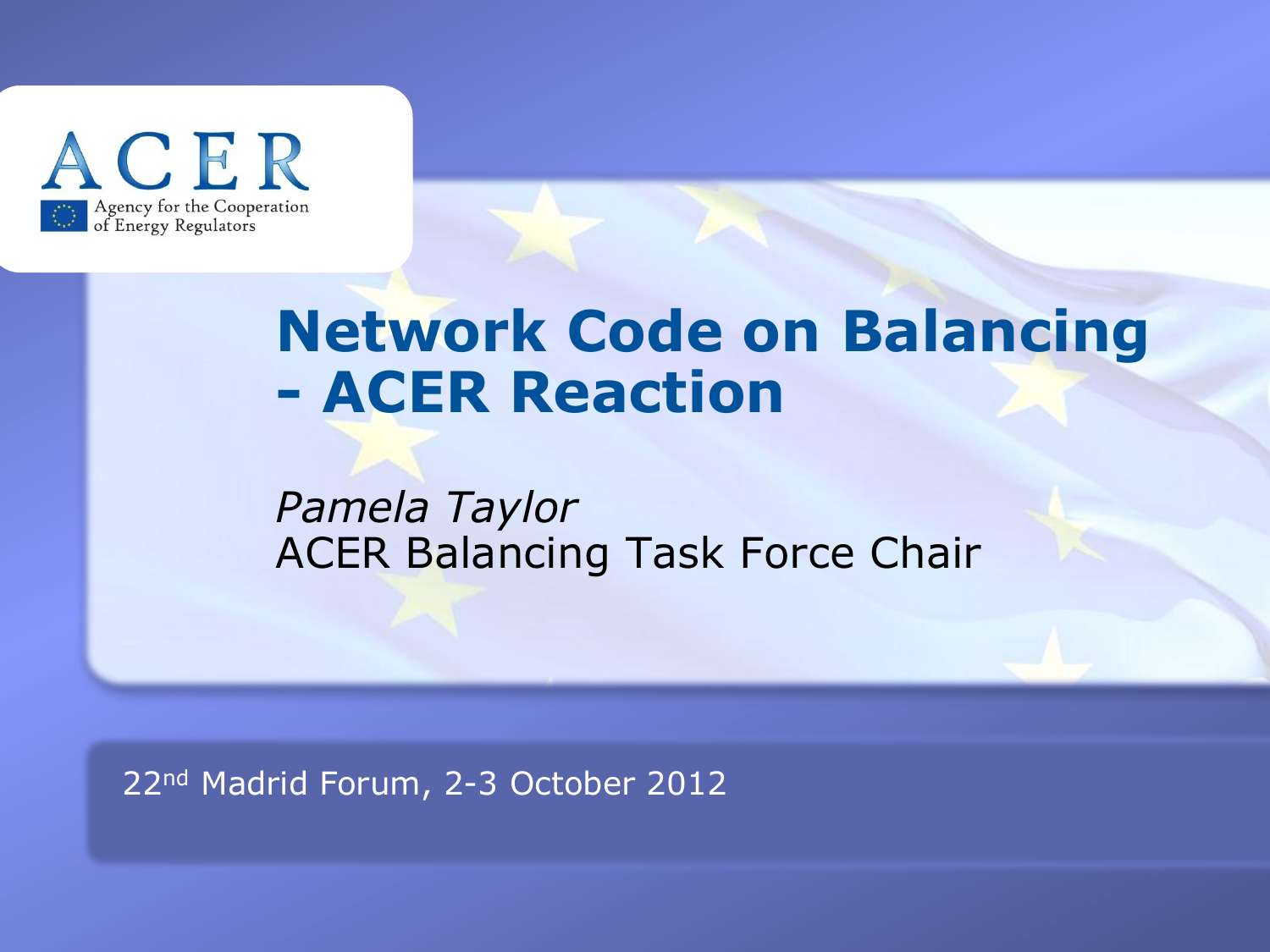

#### **Network Code on Balancing - ACER Reaction**

#### *Pamela Taylor* ACER Balancing Task Force Chair

22nd Madrid Forum, 2-3 October 2012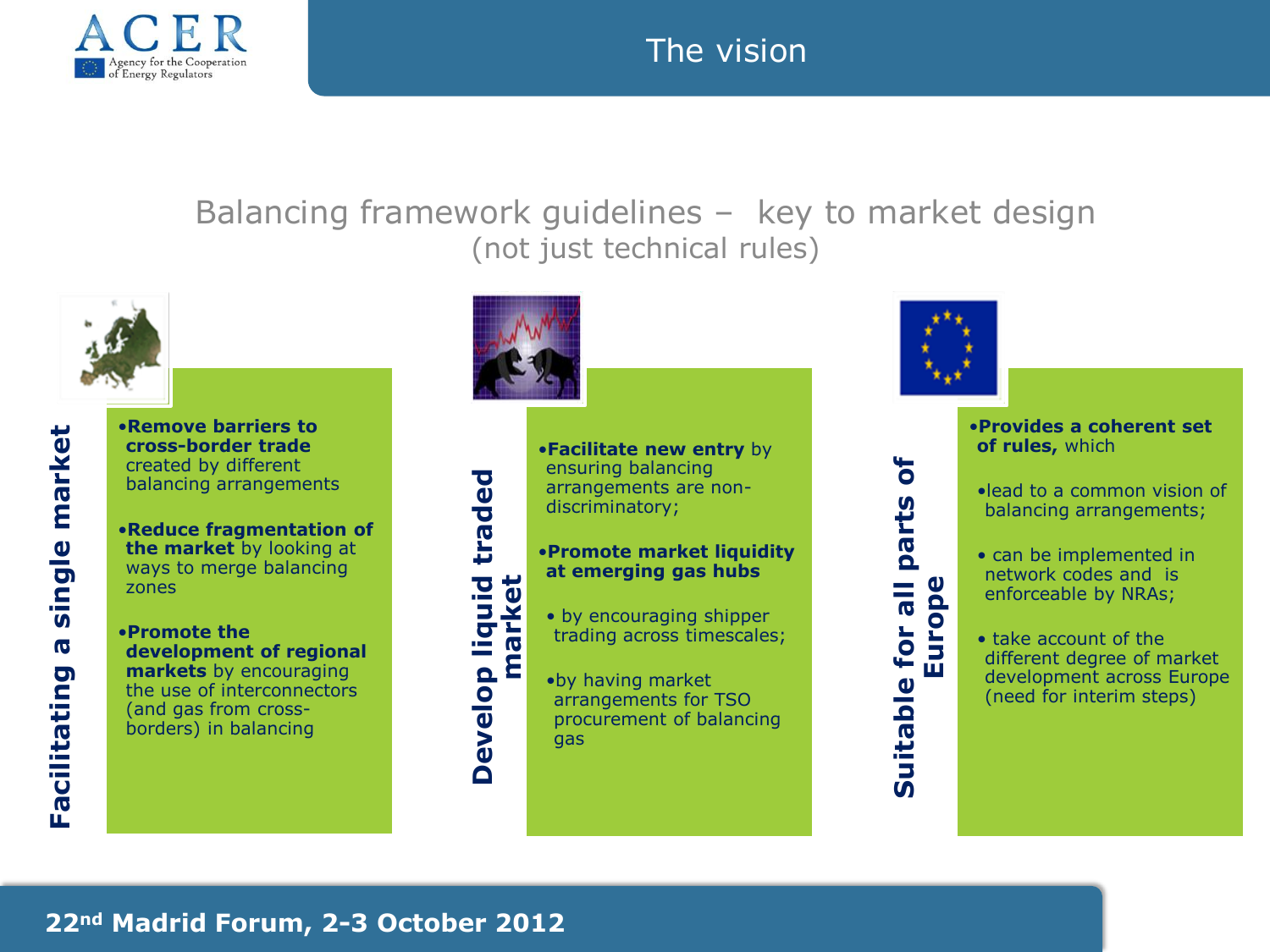

#### The vision

Balancing framework guidelines – key to market design (not just technical rules)



•**Remove barriers to cross-border trade**  created by different balancing arrangements

•**Reduce fragmentation of the market** by looking at ways to merge balancing zones

single market **Facilitating a single market**  $\overline{\mathbf{o}}$ **Facilitating** 

•**Promote the development of regional markets** by encouraging the use of interconnectors (and gas from crossborders) in balancing



**Develop liquid traded market** •**Facilitate new entry** by ensuring balancing arrangements are nondiscriminatory;

#### •**Promote market liquidity at emerging gas hubs**

- by encouraging shipper trading across timescales;
- •by having market arrangements for TSO procurement of balancing gas



•**Provides a coherent set of rules,** which

•lead to a common vision of balancing arrangements;

• can be implemented in network codes and is enforceable by NRAs;

• take account of the different degree of market development across Europe (need for interim steps)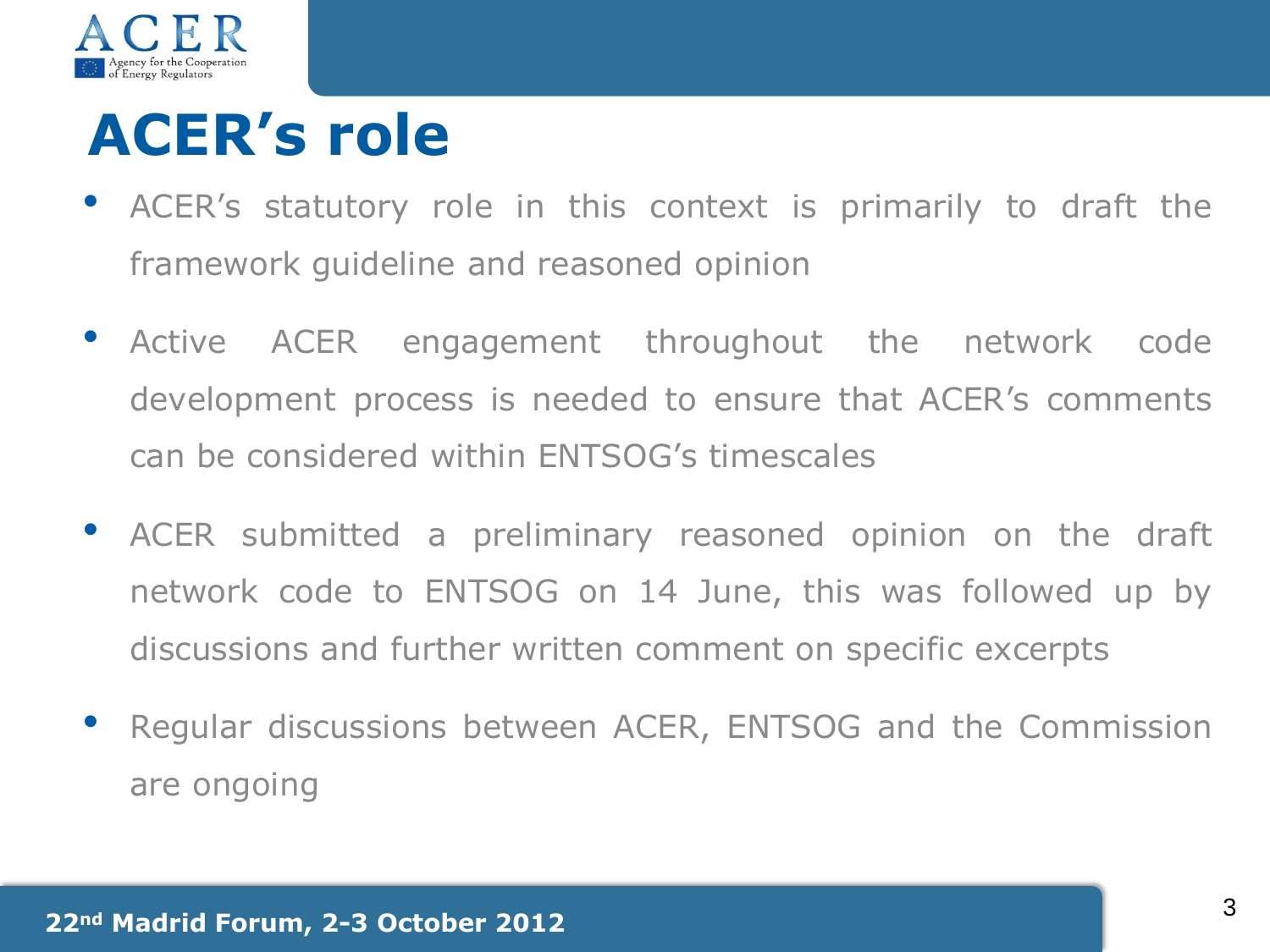

# **ACER's role**

- ACER's statutory role in this context is primarily to draft the framework guideline and reasoned opinion
- Active ACER engagement throughout the network code development process is needed to ensure that ACER's comments can be considered within ENTSOG's timescales
- ACER submitted <sup>a</sup> preliminary reasoned opinion on the draft network code to ENTSOG on 14 June, this was followed up by discussions and further written comment on specific excerpts
- Regular discussions between ACER, ENTSOG and the Commission are ongoing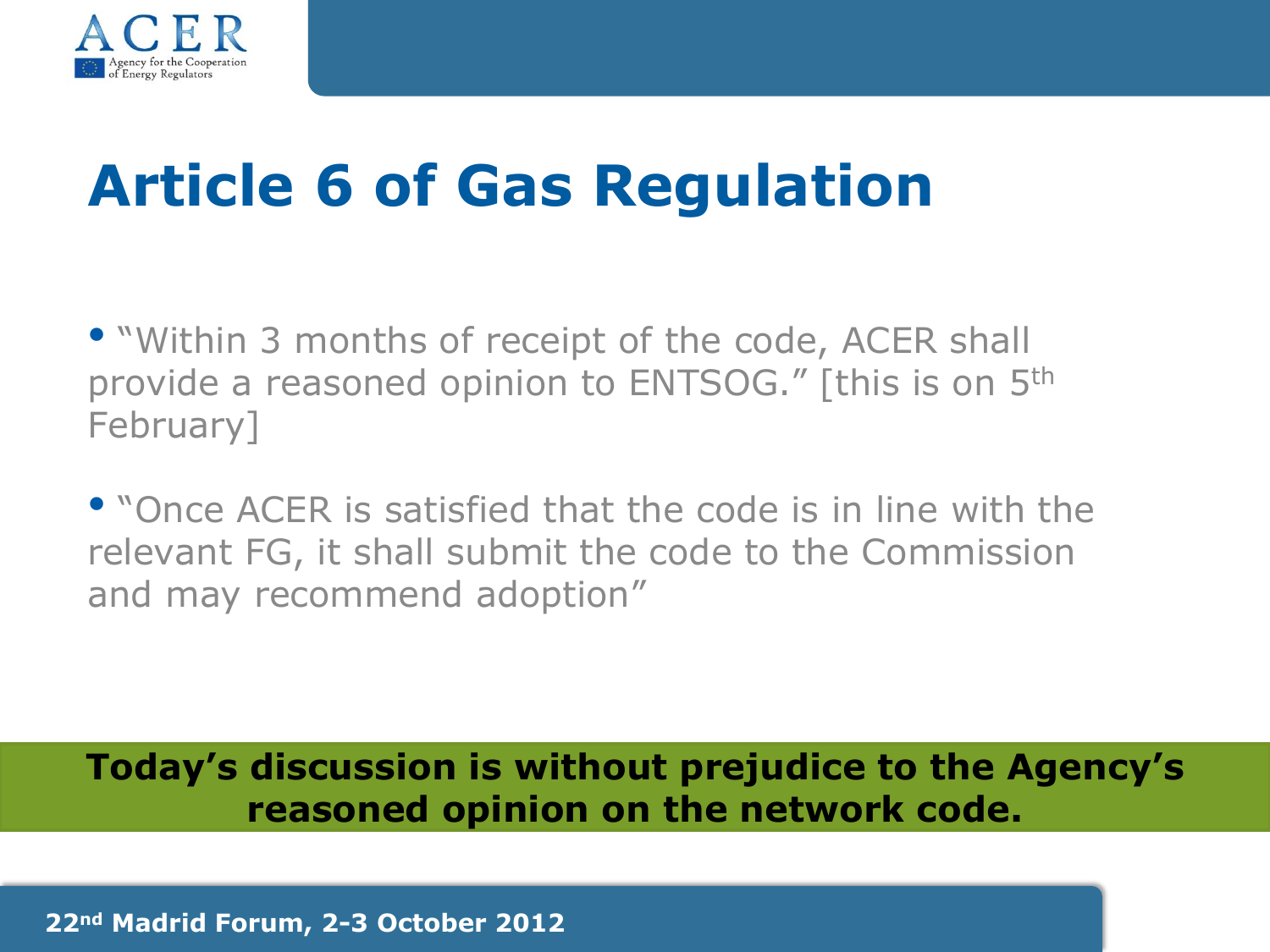

# **Article 6 of Gas Regulation**

• "Within 3 months of receipt of the code, ACER shall provide a reasoned opinion to ENTSOG." [this is on 5<sup>th</sup> February]

• "Once ACER is satisfied that the code is in line with the relevant FG, it shall submit the code to the Commission and may recommend adoption"

**Today's discussion is without prejudice to the Agency's reasoned opinion on the network code.** 

**22nd Madrid Forum, 2-3 October 2012**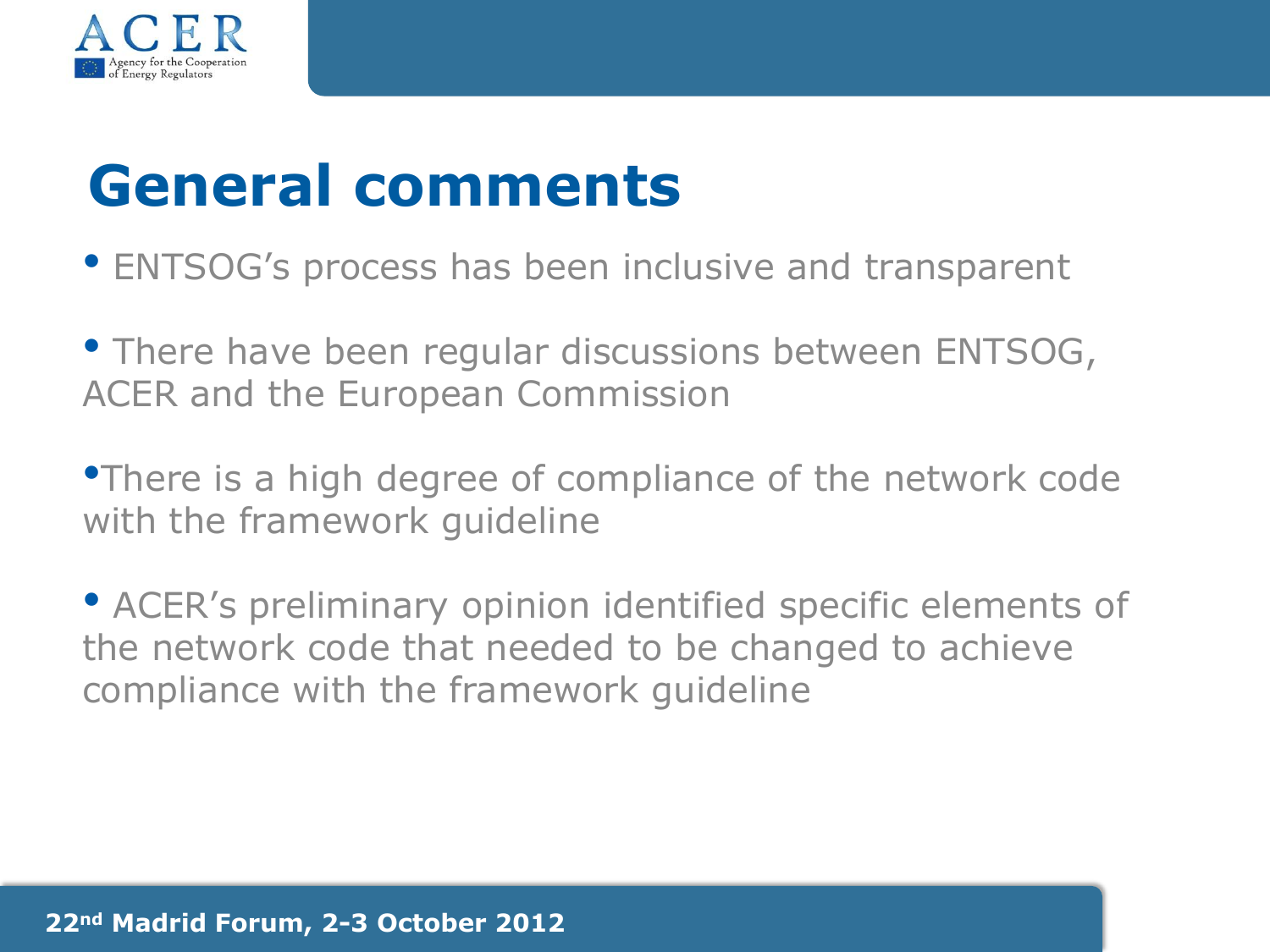

### **General comments**

- ENTSOG's process has been inclusive and transparent
- There have been regular discussions between ENTSOG, ACER and the European Commission
- •There is a high degree of compliance of the network code with the framework guideline
- ACER's preliminary opinion identified specific elements of the network code that needed to be changed to achieve compliance with the framework guideline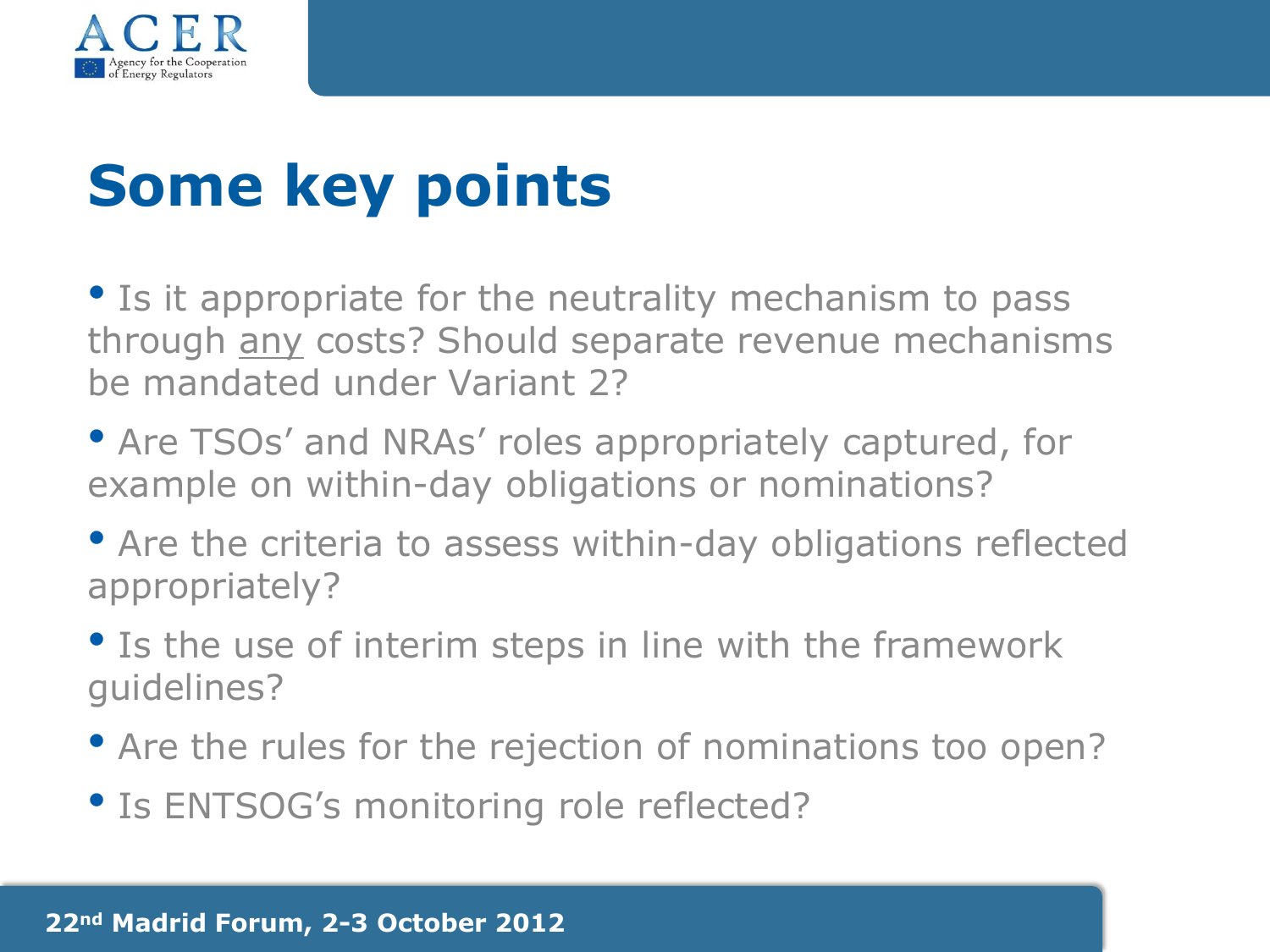

# **Some key points**

• Is it appropriate for the neutrality mechanism to pass through any costs? Should separate revenue mechanisms be mandated under Variant 2?

- Are TSOs' and NRAs' roles appropriately captured, for example on within-day obligations or nominations?
- Are the criteria to assess within-day obligations reflected appropriately?
- Is the use of interim steps in line with the framework guidelines?
- Are the rules for the rejection of nominations too open?
- Is ENTSOG's monitoring role reflected?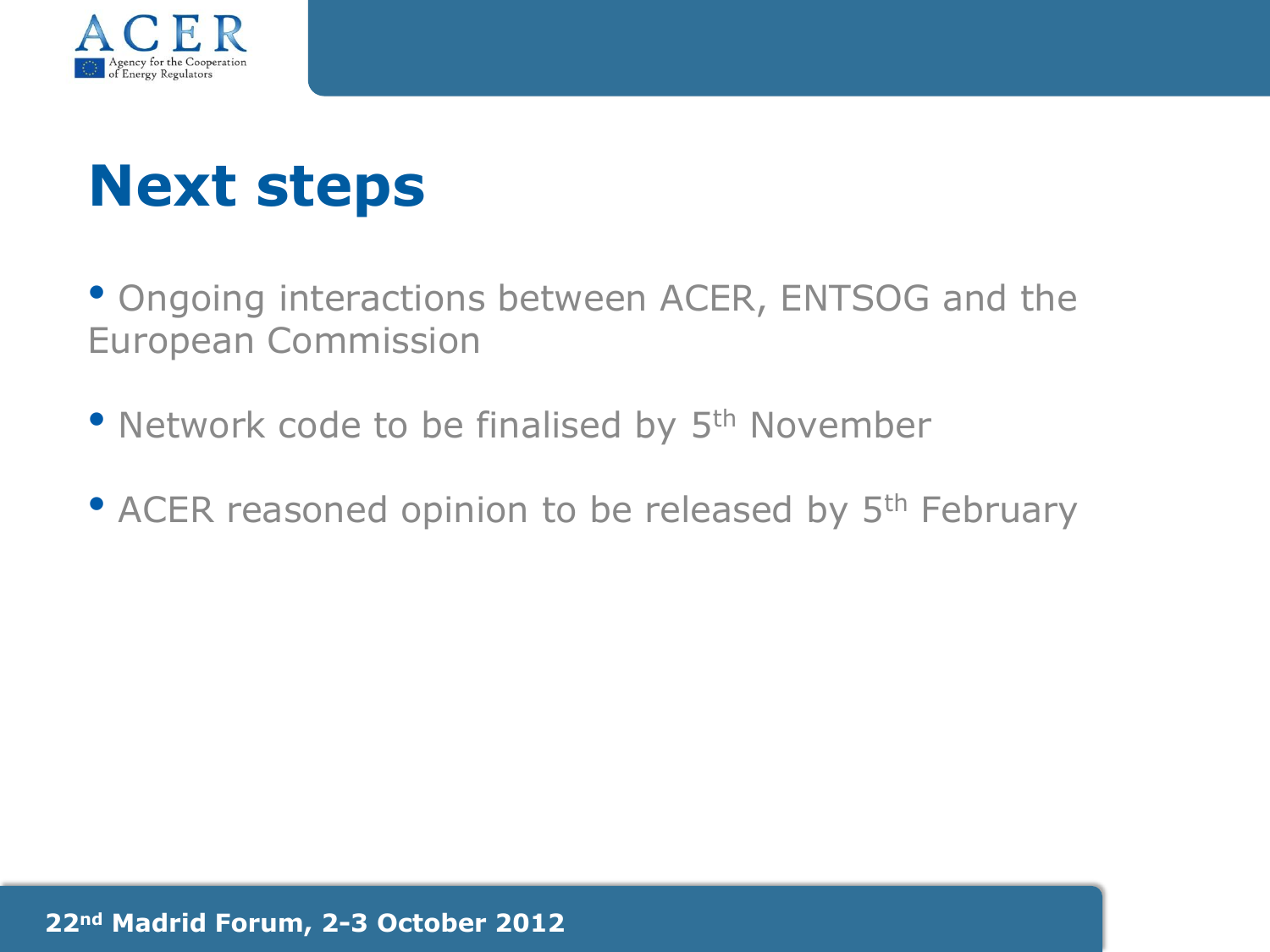

## **Next steps**

• Ongoing interactions between ACER, ENTSOG and the European Commission

- Network code to be finalised by 5<sup>th</sup> November
- ACER reasoned opinion to be released by 5<sup>th</sup> February